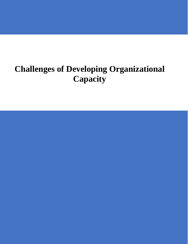# **Challenges of Developing Organizational Capacity**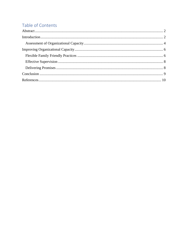# Table of Contents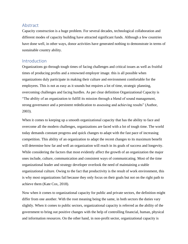# <span id="page-2-0"></span>Abstract

Capacity construction is a huge problem. For several decades, technological collaboration and different modes of capacity building have attracted significant funds. Although a few countries have done well, in other ways, donor activities have generated nothing to demonstrate in terms of sustainable country ability.

### <span id="page-2-1"></span>Introduction

Organizations go through tough times of facing challenges and critical issues as well as fruitful times of producing profits and a renowned employer image. this is all possible when organizations duly participate in making their culture and environment comfortable for the employees. This is not as easy as it sounds but requires a lot of time, strategic planning, overcoming challenges and facing hurdles. As per clear definition Organizational Capacity is "The ability of an organization to fulfill its mission through a blend of sound management, strong governance and a persistent rededication to assessing and achieving results" (Author, 2003).

When it comes to keeping up a smooth organizational capacity that has the ability to face and overcome all the modern challenges, organizations are faced with a lot of tough time. The world today demands constant progress and quick changes to adapt with the fast pace of increasing competition. This ability of an organization to adapt the recent changes to its maximum benefit will determine how far and well an organization will reach in its goals of success and longevity. While considering the factors that most evidently affect the growth of an organization the major ones include, culture, communication and consistent ways of communicating. Most of the time organizational leader and strategy developer overlook the need of maintaining a stable organizational culture. Owing to the fact that productivity is the result of work environment, this is why most organizations fail because they only focus on their goals but not on the right path to achieve them (Kate Cox, 2018).

Now when it comes to organizational capacity for public and private sectors, the definition might differ from one another. With the root meaning being the same, in both sectors the duties vary slightly. When it comes to public sectors, organizational capacity is referred as the ability of the government to bring out positive changes with the help of controlling financial, human, physical and information resources. On the other hand, in non-profit sector, organizational capacity is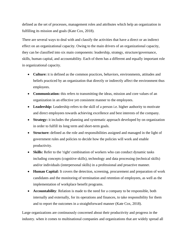defined as the set of processes, management roles and attributes which help an organization in fulfilling its mission and goals (Kate Cox, 2018).

There are several ways to deal with and classify the activities that have a direct or an indirect effect on an organizational capacity. Owing to the main drivers of an organizational capacity, they can be classified into six main components: leadership, strategy, structure/governance, skills, human capital, and accountability. Each of them has a different and equally important role in organizational capacity.

- **Culture:** it is defined as the common practices, behaviors, environments, attitudes and beliefs practiced by an organization that directly or indirectly affect the environment thus employees.
- **Communication:** this refers to transmitting the ideas, mission and core values of an organization in an effective yet consistent manner to the employees.
- **Leadership:** Leadership refers to the skill of a person i.e. higher authority to motivate and direct employees towards achieving excellence and best interests of the company.
- **Strategy:** it includes the planning and systematic approach developed by on organization in order to fulfill its long term and short-term goals.
- **Structure:** defined as the role and responsibilities assigned and managed in the light of government rules and policies to decide how the policies will work and enable productivity.
- Skills: Refer to the 'right' combination of workers who can conduct dynamic tasks including concepts (cognitive skills), technology and data processing (technical skills) and/or individuals (interpersonal skills) in a professional and proactive manner.
- **Human Capital:** It covers the detection, screening, procurement and preparation of work candidates and the monitoring of termination and retention of employees, as well as the implementation of workplace benefit programs.
- **Accountability**: Relation is made to the need for a company to be responsible, both internally and externally, for its operations and finances, to take responsibility for them and to report the outcomes in a straightforward manner (Kate Cox, 2018).

Large organizations are continuously concerned about their productivity and progress in the industry. when it comes to multinational companies and organizations that are widely spread all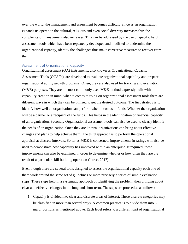over the world, the management and assessment becomes difficult. Since as an organization expands its operation the cultural, religious and even social diversity increases thus the complexity of management also increases. This can be addressed by the use of specific helpful assessment tools which have been repeatedly developed and modified to undermine the organizational capacity, identity the challenges thus make corrective measures to recover from them.

#### <span id="page-4-0"></span>Assessment of Organizational Capacity

Organizational assessment (OA) instruments, also known as Organizational Capacity Assessment Tools (OCATs), are developed to evaluate organizational capability and prepare organizational ability growth programs. Often, they are also used for tracking and evaluation (M&E) purposes. They are the most commonly used M&E method expressly built with capability creation in mind. when it comes to using on organizational assessment tools there are different ways in which they can be utilized to get the desired outcome. The first strategy is to identify how well an organization can perform when it comes to funds. Whether the organization will be a partner or a recipient of the funds. This helps in the identification of financial capacity of an organization. Secondly Organizational assessment tools can also be used to clearly identify the needs of an organization. Once they are known, organizations can bring about effective changes and plans to help achieve them. The third approach is to perform the operational appraisal at discrete intervals. So far as M&E is concerned, improvements in ratings will also be used to demonstrate how capability has improved within an enterprise. If required, these improvements can also be examined in order to determine whether or how often they are the result of a particular skill building operation (Intrac, 2017).

Even though there are several tools designed to assess the organizational capacity each one of them work around the same set of guidelines or more precisely a series of simple evaluation steps. These steps help in a systematic approach of identifying the problem, then bringing about clear and effective changes in the long and short term. The steps are proceeded as follows:

1. Capacity is divided into clear and discrete areas of interest. These discrete categories may be classified in more than several ways. A common practice is to divide them into 6 major portions as mentioned above. Each level refers to a different part of organizational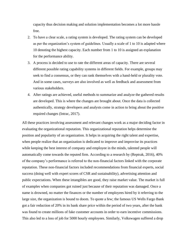capacity thus decision making and solution implementation becomes a lot more hassle free.

- 2. To have a clear scale, a rating system is developed. The rating system can be developed as per the organization's system of guidelines. Usually a scale of 1 to 10 is adapted where 10 denoting the highest capacity. Each number from 1 to 10 is assigned an explanation for the performance ability.
- 3. A process is decided to use to rate the different areas of capacity. There are several different possible rating capability systems in different fields. For example, groups may seek to find a consensus, or they can rank themselves with a hand-held or plurality vote. And in some cases, surveys are also involved as well as feedback and assessment from various stakeholders.
- 4. After ratings are achieved, useful methods to summarize and analyze the gathered results are developed. This is where the changes are brought about. Once the data is collected authentically, strategy developers and analysts come in action to bring about the positive required changes (Intrac, 2017).

All these practices involving assessment and relevant changes work as a major deciding factor in evaluating the organizational reputation. This organizational reputation helps determine the position and popularity of an organization. It helps in acquiring the right talent and expertise, when people realize that an organization is dedicated to improve and improvise its practices while keeping the best interest of company and employee in the minds, talented people will automatically come towards the reputed firm. According to a research by (Reptrak, 2016), 40% of the company's performance is referred to the non-financial factors linked with the corporate reputation. These non-financial factors included recommendations from financial experts, social success (doing well with expert scores of CSR and sustainability), advertising attention and public expectations. When these intangibles are good, they raise market value. The market is full of examples when companies got ruined just because of their reputation was damaged. Once a name is drowned, no matter the finances or the number of employees hired by it referring to the large size, the organization is bound to doom. To quote a few; the famous US Wells Fargo Bank got a fair reduction of 20% in its bank share price within the period of two years, after the bank was found to create millions of fake customer accounts in order to earn incentive commissions. This also led to a loss of job for 5000 hourly employees. Similarly, Volkswagen suffered a drop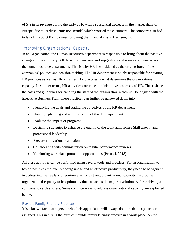of 5% in its revenue during the early 2016 with a substantial decrease in the market share of Europe, due to its diesel emission scandal which worried the customers. The company also had to lay off its 30,000 employees following the financial crisis (Harrison, n.d.).

# <span id="page-6-0"></span>Improving Organizational Capacity

In an Organization, the Human Resources department is responsible to bring about the positive changes in the company. All decisions, concerns and suggestions and issues are funneled up to the human resource departments. This is why HR is considered as the driving force of the companies' policies and decision making. The HR department is solely responsible for creating HR practices as well as HR activities. HR practices is what determines the organizational capacity. In simpler terms, HR activities cover the administrative processes of HR. These shape the basis and guidelines for handling the staff of the organization which will be aligned with the Executive Business Plan. These practices can further be narrowed down into:

- Identifying the goals and stating the objectives of the HR department
- Planning, planning and administration of the HR Department
- Evaluate the impact of programs
- Designing strategies to enhance the quality of the work atmosphere Skill growth and professional leadership
- Execute motivational campaigns
- Collaborating with administration on regular performance reviews
- Monitoring workplace promotion opportunities (Perucci, 2018).

All these activities can be performed using several tools and practices. For an organization to have a positive employer branding image and an effective productivity, they need to be vigilant in addressing the needs and requirements for a strong organizational capacity. Improving organizational capacity to its optimum value can act as the major revolutionary force driving a company towards success. Some common ways to address organizational capacity are explained below:

#### <span id="page-6-1"></span>Flexible Family Friendly Practices

It is a known fact that a person who feels appreciated will always do more than expected or assigned. This in turn is the birth of flexible family friendly practice in a work place. As the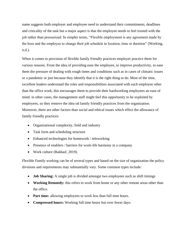name suggests both employer and employee need to understand their commitments, deadlines and criticality of the task but a major aspect is that the employee needs to feel trusted with the job rather than pressurized. In simpler terms, "Flexible employment is any agreement made by the boss and the employee to change their job schedule in location, time or duration" (Working, n.d.).

When it comes to provision of flexible family friendly practices employer practice them for various reasons. From the idea of providing ease the employee, to improve productivity, to ease them the pressure of dealing with rough times and conditions such as in cases of climatic issues or a pandemic or just because they identify that it is the right thing to do. Most of the time, excellent leaders understand the roles and responsibilities associated with each employee other than the office work, this encourages them to provide their hardworking employees an ease of mind. in other cases, the management staff might feel this opportunity to be exploited by employees, so they remove the idea od family friendly practices from the organization. Moreover, there are other factors than social and ethical issues which effect the allowance of family friendly practices:

- Organizational complexity, field and industry
- Task form and scheduling structure
- Enhanced technologies for homework / teleworking
- Presence of enablers / barriers for work-life harmony in a company
- Work culture (Baldauf, 2019).

Flexible Family working can be of several types and based on the size of organization the policy divisions and requirements may substantially vary. Some common types include:

- **Job Sharing:** A single job is divided amongst two employees such as shift timings
- **Working Remotely:** this refers to work from home or any other remote areas other than the office.
- **Part time:** allowing employees to work less than full time hours.
- **Compressed hours:** Working full time hours but over fewer days.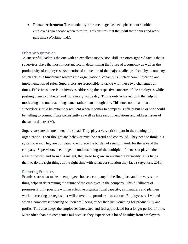**Phased retirement:** The mandatory retirement age has been phased out so older employees can choose when to retire. This ensures that they will their hours and work part time (Working, n.d.).

#### <span id="page-8-0"></span>Effective Supervision

A successful leader is the one with an excellent supervision skill. An often-ignored fact is that a supervisor plays the most important role in determining the future of a company as well as the productivity of employees. As mentioned above one of the major challenges faced by a company which acts as a hinderance towards the organizational capacity is unclear communication and implementation of rules. Supervisors are responsible to tackle with these two challenges all times. Effective supervision involves addressing the respective concerns of the employees while pushing them to do better and more every single day. This is only achieved with the help of motivating and understanding stance rather than a tough one. This does not mean that a supervisor should be extremely resilient when it comes to company's affairs but he or she should be willing to communicate consistently as well as take recommendations and address issues of the sub-ordinates (M).

Supervisors are the members of a squad. They play a very critical part in the running of the organization. Their thought and behavior must be careful and controlled. They need to think in a systemic way. They are obligated to embrace the burden of seeing it work for the sake of the company. Supervisors need to get an understanding of the multiple influences at play in their areas of power, and from this insight, they need to grow an invaluable versatility. This helps them to do the right things at the right time with whatever situation they face (Satyendra, 2016).

#### <span id="page-8-1"></span>Delivering Promises

Promises are what make an employee choose a company in the first place and the very same thing helps in determining the future of the employee in the company. This fulfillment of promises is only possible with an effective organizational capacity, as managers and planners work on creating strategies that will convert the promises into actions. Employees feel valued when a company is focusing on their well being rather than just vouching for productivity and profits. This also keeps the employees interested and feel appreciated for a longer period of time. More often than not companies fail because they experience a lot of hostility from employees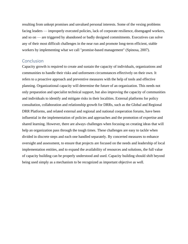resulting from unkept promises and unvalued personal interests. Some of the vexing problems facing leaders — improperly executed policies, lack of corporate resilience, disengaged workers, and so on — are triggered by abandoned or badly designed commitments. Executives can solve any of their most difficult challenges in the near run and promote long-term efficient, stable workers by implementing what we call "promise-based management" (Spinosa, 2007).

## <span id="page-9-0"></span>**Conclusion**

Capacity growth is required to create and sustain the capacity of individuals, organizations and communities to handle their risks and unforeseen circumstances effectively on their own. It refers to a proactive approach and preventive measures with the help of tools and effective planning. Organizational capacity will determine the future of an organization. This needs not only preparation and specialist technical support, but also improving the capacity of communities and individuals to identify and mitigate risks in their localities. External platforms for policy consultation, collaboration and relationship growth for DRRs, such as the Global and Regional DRR Platforms, and related external and regional and national cooperation forums, have been influential in the implementation of policies and approaches and the promotion of expertise and shared learning. However, there are always challenges when focusing on creating ideas that will help an organization pass through the tough times. These challenges are easy to tackle when divided in discrete steps and each one handled separately. By concerted measures to enhance oversight and assessment, to ensure that projects are focused on the needs and leadership of local implementation entities, and to expand the availability of resources and solutions, the full value of capacity building can be properly understood and used. Capacity building should shift beyond being used simply as a mechanism to be recognized as important objective as well.